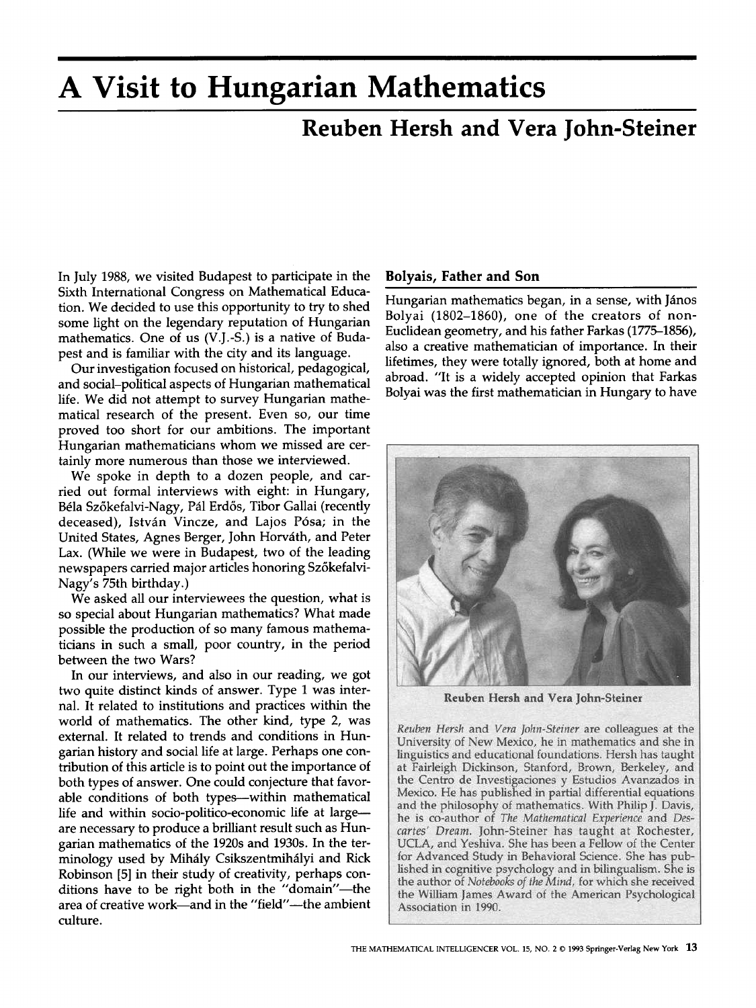# **A Visit to Hungarian Mathematics**

# **Reuben Hersh and Vera John-Steiner**

In July 1988, we visited Budapest to participate in the Sixth International Congress on Mathematical Education. We decided to use this opportunity to try to shed some light on the legendary reputation of Hungarian mathematics. One of us (V.J.-S.) is a native of Budapest and is familiar with the city and its language.

Our investigation focused on historical, pedagogical, and social-political aspects of Hungarian mathematical life. We did not attempt to survey Hungarian mathematical research of the present. Even so, our time proved too short for our ambitions. The important Hungarian mathematicians whom we missed are certainly more numerous than those we interviewed.

We spoke in depth to a dozen people, and carried out formal interviews with eight: in Hungary, Béla Szőkefalvi-Nagy, Pál Erdős, Tibor Gallai (recently deceased), István Vincze, and Lajos Pósa; in the United States, Agnes Berger, John Horváth, and Peter Lax. (While we were in Budapest, two of the leading newspapers carried major articles honoring Szőkefalvi-Nagy's 75th birthday.)

We asked all our interviewees the question, what is so special about Hungarian mathematics? What made possible the production of so many famous mathematicians in such a small, poor country, in the period between the two Wars?

In our interviews, and also in our reading, we got two quite distinct kinds of answer. Type 1 was internal. It related to institutions and practices within the world of mathematics. The other kind, type 2, was external. It related to trends and conditions in Hungarian history and social life at large. Perhaps one contribution of this article is to point out the importance of both types of answer. One could conjecture that favorable conditions of both types--within mathematical life and within socio-politico-economic life at largeare necessary to produce a brilliant result such as Hungarian mathematics of the 1920s and 1930s. In the terminology used by Mihály Csikszentmihályi and Rick Robinson [5] in their study of creativity, perhaps conditions have to be right both in the "domain"-the area of creative work—and in the "field"--the ambient culture.

#### **Bolyais, Father and Son**

Hungarian mathematics began, in a sense, with János Bolyai (1802-1860), one of the creators of non-Euclidean geometry, and his father Farkas (1775–1856), also a creative mathematician of importance. In their lifetimes, they were totally ignored, both at home and abroad. "It is a widely accepted opinion that Farkas Bolyai was the first mathematician in Hungary to have



Reuben Hersh and Vera John-Steiner

Reuben Hersh and Vera John-Steiner are colleagues at the University of New Mexico, he in mathematics and she in linguistics and educational foundations. Hersh has taught at Fairleigh Dickinson, Stanford, Brown, Berkeley, and the Centro de Investigaciones y Estudios Avanzados in Mexico. He has published in partial differential equations and the philosophy of mathematics. With Philip J. Davis, he is co-author of The Mathematical Experience and Descartes' Dream. John-Steiner has taught at Rochester, UCLA, and Yeshiva. She has been a Fellow of the Center for Advanced Study in Behavioral Science. She has published in cognitive psychology and in bilingualism. She is the author of Notebooks of the Mind, for which she received the William James Award of the American Psychological Association in 1990.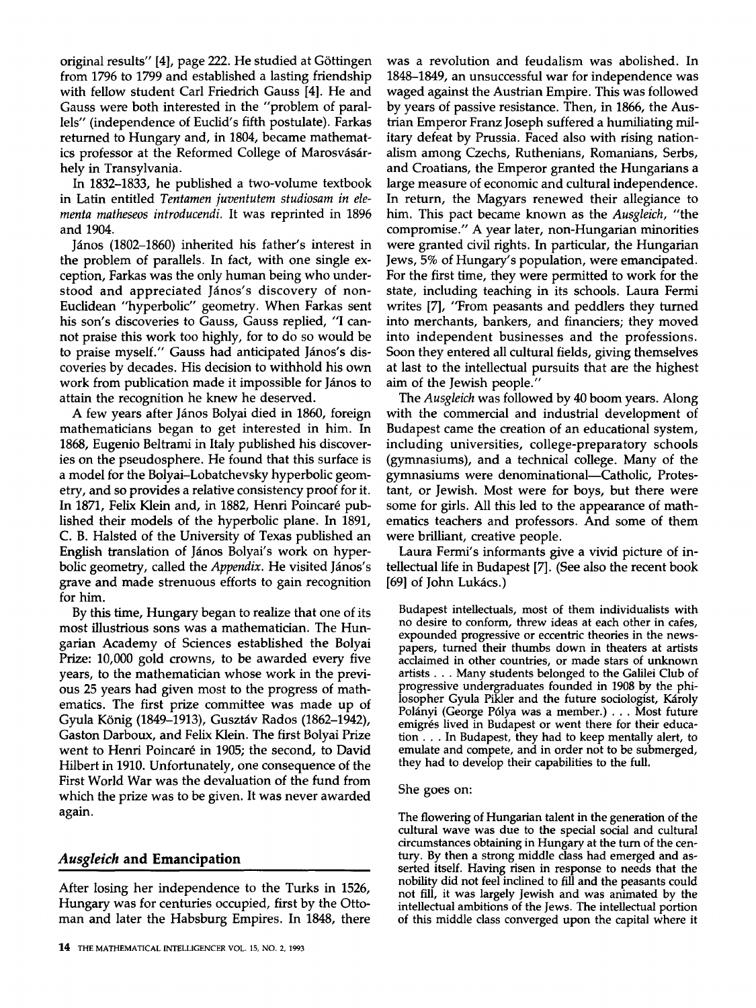original results" [4], page 222. He studied at G6ttingen from 1796 to 1799 and established a lasting friendship with fellow student Carl Friedrich Gauss [4]. He and Gauss were both interested in the "problem of parallels" (independence of Euclid's fifth postulate). Farkas returned to Hungary and, in 1804, became mathematics professor at the Reformed College of Marosvásárhely in Transylvania.

In 1832-1833, he published a two-volume textbook in Latin entitled *Tentamen juventutem studiosam in elementa matheseos introducendi.* It was reprinted in 1896 and 1904.

János (1802–1860) inherited his father's interest in the problem of parallels. In fact, with one single exception, Farkas was the only human being who understood and appreciated János's discovery of non-Euclidean "hyperbolic" geometry. When Farkas sent his son's discoveries to Gauss, Gauss replied, "I cannot praise this work too highly, for to do so would be to praise myself." Gauss had anticipated János's discoveries by decades. His decision to withhold his own work from publication made it impossible for János to attain the recognition he knew he deserved.

A few years after János Bolyai died in 1860, foreign mathematicians began to get interested in him. In 1868, Eugenio Beltrami in Italy published his discoveries on the pseudosphere. He found that this surface is a model for the Bolyai-Lobatchevsky hyperbolic geometry, and so provides a relative consistency proof for it. In 1871, Felix Klein and, in 1882, Henri Poincaré published their models of the hyperbolic plane. In 1891, C. B. Halsted of the University of Texas published an English translation of János Bolyai's work on hyperbolic geometry, called the *Appendix*. He visited János's grave and made strenuous efforts to gain recognition for him.

By this time, Hungary began to realize that one of its most illustrious sons was a mathematician. The Hungarian Academy of Sciences established the Bolyai Prize: 10,000 gold crowns, to be awarded every five years, to the mathematician whose work in the previous 25 years had given most to the progress of mathematics. The first prize committee was made up of Gyula König (1849–1913), Gusztáv Rados (1862–1942), Gaston Darboux, and Felix Klein. The first Bolyai Prize went to Henri Poincaré in 1905; the second, to David Hilbert in 1910. Unfortunately, one consequence of the First World War was the devaluation of the fund from which the prize was to be given. It was never awarded again.

# *Ausgleich* **and Emancipation**

After losing her independence to the Turks in 1526, Hungary was for centuries occupied, first by the Ottoman and later the Habsburg Empires. In 1848, there

was a revolution and feudalism was abolished. In 1848-1849, an unsuccessful war for independence was waged against the Austrian Empire. This was followed by years of passive resistance. Then, in 1866, the Austrian Emperor Franz Joseph suffered a humiliating military defeat by Prussia. Faced also with rising nationalism among Czechs, Ruthenians, Romanians, Serbs, and Croatians, the Emperor granted the Hungarians a large measure of economic and cultural independence. In return, the Magyars renewed their allegiance to him. This pact became known as the *Ausgleich,* "the compromise." A year later, non-Hungarian minorities were granted civil rights. In particular, the Hungarian Jews, 5% of Hungary's population, were emancipated. For the first time, they were permitted to work for the state, including teaching in its schools. Laura Fermi writes [7], "From peasants and peddlers they turned into merchants, bankers, and financiers; they moved into independent businesses and the professions. Soon they entered all cultural fields, giving themselves at last to the intellectual pursuits that are the highest aim of the Jewish people."

The *Ausgleich* was followed by 40 boom years. Along with the commercial and industrial development of Budapest came the creation of an educational system, including universities, college-preparatory schools (gymnasiums), and a technical college. Many of the gymnasiums were denominational-Catholic, Protestant, or Jewish. Most were for boys, but there were some for girls. All this led to the appearance of mathematics teachers and professors. And some of them were brilliant, creative people.

Laura Fermi's informants give a vivid picture of intellectual life in Budapest [7]. (See also the recent book [69] of John Lukács.)

Budapest intellectuals, most of them individualists with no desire to conform, threw ideas at each other in cafes, expounded progressive or eccentric theories in the newspapers, turned their thumbs down in theaters at artists acclaimed in other countries, or made stars of unknown artists... Many students belonged to the Galilei Club of progressive undergraduates founded in 1908 by the philosopher Gyula Pikler and the future sociologist, Károly Polányi (George Pólya was a member.) . . . Most future emigrés lived in Budapest or went there for their education... In Budapest, they had to keep mentally alert, to emulate and compete, and in order not to be submerged, they had to develop their capabilities to the full.

#### She goes on:

The flowering of Hungarian talent in the generation of the cultural wave was due to the special social and cultural circumstances obtaining in Hungary at the turn of the century. By then a strong middle class had emerged and asserted itself. Having risen in response to needs that the nobility did not feel inclined to fill and the peasants could not fill, it was largely Jewish and was animated by the intellectual ambitions of the Jews. The intellectual portion of this middle class converged upon the capital where it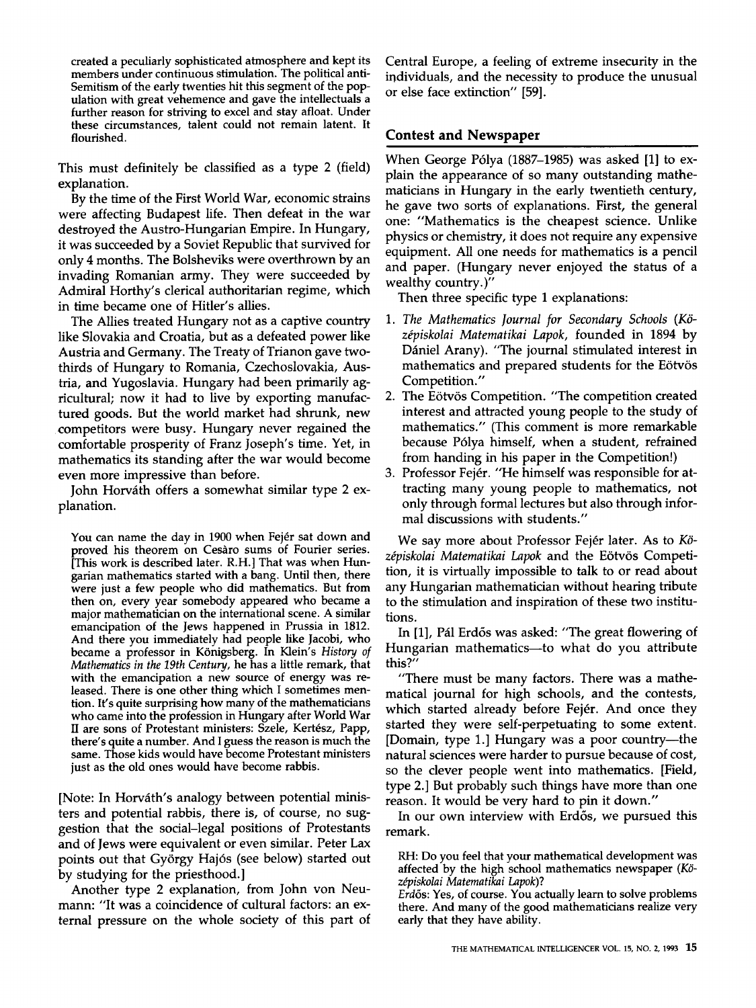created a peculiarly sophisticated atmosphere and kept its members under continuous stimulation. The political anti-Semitism of the early twenties hit this segment of the population with great vehemence and gave the intellectuals a further reason for striving to excel and stay afloat. Under these circumstances, talent could not remain latent. It flourished.

This must definitely be classified as a type 2 (field) explanation.

By the time of the First World War, economic strains were affecting Budapest life. Then defeat in the war destroyed the Austro-Hungarian Empire. In Hungary, it was succeeded by a Soviet Republic that survived for only 4 months. The Bolsheviks were overthrown by an invading Romanian army. They were succeeded by Admiral Horthy's clerical authoritarian regime, which in time became one of Hitler's allies.

The Allies treated Hungary not as a captive country like Slovakia and Croatia, but as a defeated power like Austria and Germany. The Treaty of Trianon gave twothirds of Hungary to Romania, Czechoslovakia, Austria, and Yugoslavia. Hungary had been primarily agricultural; now it had to live by exporting manufactured goods. But the world market had shrunk, new competitors were busy. Hungary never regained the comfortable prosperity of Franz Joseph's time. Yet, in mathematics its standing after the war would become even more impressive than before.

John Horváth offers a somewhat similar type 2 explanation.

You can name the day in 1900 when Fejér sat down and proved his theorem on Cesaro sums of Fourier series. [This work is described later. R.H.] That was when Hungarian mathematics started with a bang. Until then, there were just a few people who did mathematics. But from then on, every year somebody appeared who became a major mathematician on the international scene. A similar emancipation of the Jews happened in Prussia in 1812. And there you immediately had people like Jacobi, who became a professor in K6nigsberg. In Klein's *History of Mathematics in the 19th Century,* he has a little remark, that with the emancipation a new source of energy was released. There is one other thing which I sometimes mention. It's quite surprising how many of the mathematicians who came into the profession in Hungary after World War II are sons of Protestant ministers: Szele, Kertész, Papp, there's quite a number. And I guess the reason is much the same. Those kids would have become Protestant ministers just as the old ones would have become rabbis.

[Note: In Horváth's analogy between potential ministers and potential rabbis, there is, of course, no suggestion that the social-legal positions of Protestants and of Jews were equivalent or even similar. Peter Lax points out that György Hajós (see below) started out by studying for the priesthood.]

Another type 2 explanation, from John yon Neumann: "It was a coincidence of cultural factors: an external pressure on the whole society of this part of Central Europe, a feeling of extreme insecurity in the individuals, and the necessity to produce the unusual or else face extinction" [59].

### **Contest and Newspaper**

When George P61ya (1887-1985) was asked [1] to explain the appearance of so many outstanding mathematicians in Hungary in the early twentieth century, he gave two sorts of explanations. First, the general one: "Mathematics is the cheapest science. Unlike physics or chemistry, it does not require any expensive equipment. All one needs for mathematics is a pencil and paper. (Hungary never enjoyed the status of a wealthy country.)"

Then three specific type 1 explanations:

- *1. The Mathematics Journal for Secondary Schools (K6 z~piskolai Matematikai Lapok,* founded in 1894 by Dániel Arany). "The journal stimulated interest in mathematics and prepared students for the Eötvös Competition."
- 2. The Eötvös Competition. "The competition created interest and attracted young people to the study of mathematics." (This comment is more remarkable because P61ya himself, when a student, refrained from handing in his paper in the Competition!)
- 3. Professor Fejér. "He himself was responsible for attracting many young people to mathematics, not only through formal lectures but also through informal discussions with students."

We say more about Professor Fej6r later. As to *K6*  zépiskolai Matematikai Lapok and the Eötvös Competition, it is virtually impossible to talk to or read about any Hungarian mathematician without hearing tribute to the stimulation and inspiration of these two institutions.

In [1], Pál Erdős was asked: "The great flowering of Hungarian mathematics—to what do you attribute this?"

"There must be many factors. There was a mathematical journal for high schools, and the contests, which started already before Fejér. And once they started they were self-perpetuating to some extent. [Domain, type 1.] Hungary was a poor country--the natural sciences were harder to pursue because of cost, so the clever people went into mathematics. [Field, type 2.] But probably such things have more than one reason. It would be very hard to pin it down."

In our own interview with Erdős, we pursued this remark.

RH: Do you feel that your mathematical development was affected by the high school mathematics newspaper *(K6 zdpiskolai Matematikai Lapok)?* 

*Erd6s:* Yes, of course. You actually learn to solve problems there. And many of the good mathematicians realize very early that they have ability.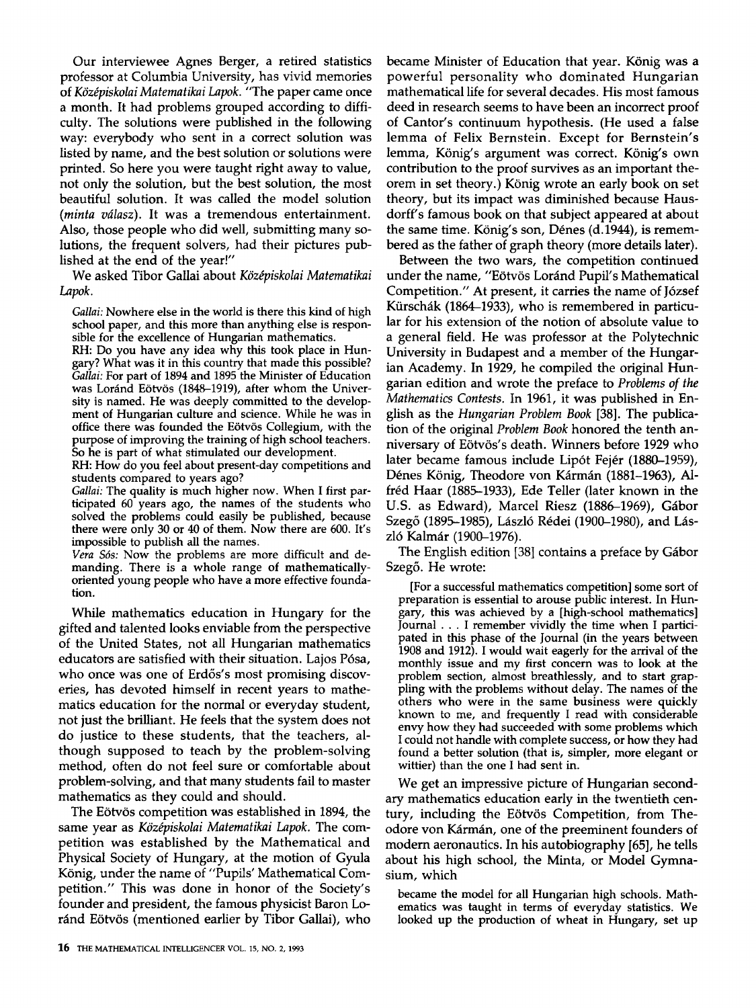Our interviewee Agnes Berger, a retired statistics professor at Columbia University, has vivid memories of Középiskolai Matematikai Lapok. "The paper came once a month. It had problems grouped according to difficulty. The solutions were published in the following way: everybody who sent in a correct solution was listed by name, and the best solution or solutions were printed. So here you were taught right away to value, not only the solution, but the best solution, the most beautiful solution. It was called the model solution *(minta vdlasz).* It was a tremendous entertainment. Also, those people who did well, submitting many solutions, the frequent solvers, had their pictures published at the end of the year!"

We asked Tibor Gallai about *Középiskolai Matematikai Lapok.* 

*Gallai:* Nowhere else in the world is there this kind of high school paper, and this more than anything else is responsible for the excellence of Hungarian mathematics.

RH: Do you have any idea why this took place in Hungary? What was it in this country that made this possible? *Gallai:* For part of 1894 and 1895 the Minister of Education was Loránd Eötvös (1848-1919), after whom the University is named. He was deeply committed to the development of Hungarian culture and science. While he was in office there was founded the Eötvös Collegium, with the purpose of improving the training of high school teachers. So he is part of what stimulated our development.

RH: How do you feel about present-day competitions and students compared to years ago?

*Gallai:* The quality is much higher now. When I first participated 60 years ago, the names of the students who solved the problems could easily be published, because there were only 30 or 40 of them. Now there are 600. It's impossible to publish all the names.

*Vera S6s:* Now the problems are more difficult and demanding. There is a whole range of mathematicallyoriented young people who have a more effective foundation.

While mathematics education in Hungary for the gifted and talented looks enviable from the perspective of the United States, not all Hungarian mathematics educators are satisfied with their situation. Lajos Pósa, who once was one of Erdős's most promising discoveries, has devoted himself in recent years to mathematics education for the normal or everyday student, not just the brilliant. He feels that the system does not do justice to these students, that the teachers, although supposed to teach by the problem-solving method, often do not feel sure or comfortable about problem-solving, and that many students fail to master mathematics as they could and should.

The Eötvös competition was established in 1894, the same year as *Középiskolai Matematikai Lapok*. The competition was established by the Mathematical and Physical Society of Hungary, at the motion of Gyula König, under the name of "Pupils' Mathematical Competition." This was done in honor of the Society's founder and president, the famous physicist Baron Loránd Eötvös (mentioned earlier by Tibor Gallai), who

became Minister of Education that year. König was a powerful personality who dominated Hungarian mathematical life for several decades. His most famous deed in research seems to have been an incorrect proof of Cantor's continuum hypothesis. (He used a false lemma of Felix Bernstein. Except for Bernstein's lemma, König's argument was correct. König's own contribution to the proof survives as an important theorem in set theory.) König wrote an early book on set theory, but its impact was diminished because Hausdorff's famous book on that subject appeared at about the same time. König's son, Dénes (d. 1944), is remembered as the father of graph theory (more details later).

Between the two wars, the competition continued under the name, "Eötvös Loránd Pupil's Mathematical Competition." At present, it carries the name of J6zsef Kürschák (1864–1933), who is remembered in particular for his extension of the notion of absolute value to a general field. He was professor at the Polytechnic University in Budapest and a member of the Hungarian Academy. In 1929, he compiled the original Hungarian edition and wrote the preface to *Problems of the Mathematics Contests.* In 1961, it was published in English as the *Hungarian Problem Book* [38]. The publication of the original *Problem Book* honored the tenth anniversary of Eötvös's death. Winners before 1929 who later became famous include Lipót Fejér (1880–1959), Dénes König, Theodore von Kármán (1881-1963), Alfréd Haar (1885-1933), Ede Teller (later known in the U.S. as Edward), Marcel Riesz (1886–1969), Gábor Szegő (1895-1985), László Rédei (1900-1980), and László Kalmár (1900–1976).

The English edition [38] contains a preface by Gábor Szeg6. He wrote:

[For a successful mathematics competition] some sort of preparation is essential to arouse public interest. In Hungary, this was achieved by a [high-school mathematics] Journal **. .** . I remember vividly the time when I participated in this phase of the Journal (in the years between 1908 and 1912). I would wait eagerly for the arrival of the monthly issue and my first concern was to look at the problem section, almost breathlessly, and to start grappling with the problems without delay. The names of the others who were in the same business were quickly known to me, and frequently I read with considerable envy how they had succeeded with some problems which I could not handle with complete success, or how they had found a better solution (that is, simpler, more elegant or wittier) than the one I had sent in.

We get an impressive picture of Hungarian secondary mathematics education early in the twentieth century, including the Eötvös Competition, from Theodore von Kármán, one of the preeminent founders of modem aeronautics. In his autobiography [65], he tells about his high school, the Minta, or Model Gymnasium, which

became the model for all Hungarian high schools. Mathematics was taught in terms of everyday statistics. We looked up the production of wheat in Hungary, set up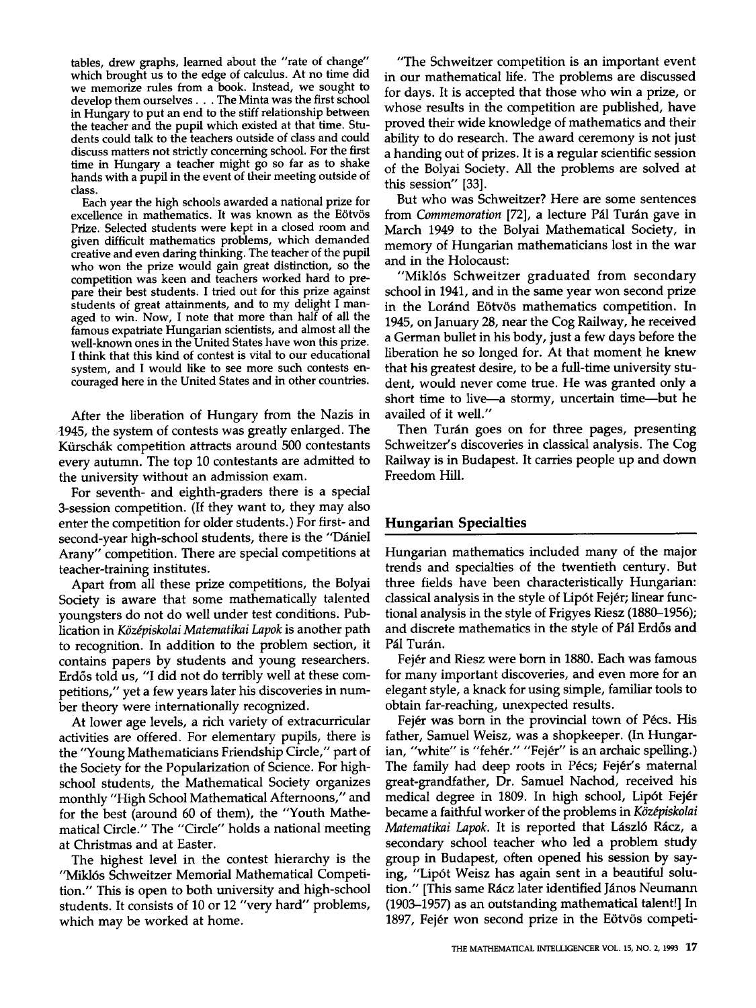tables, drew graphs, learned about the "rate of change" which brought us to the edge of calculus. At no time did we memorize rules from a book. Instead, we sought to develop them ourselves... The Minta was the first school in Hungary to put an end to the stiff relationship between the teacher and the pupil which existed at that time. Students could talk to the teachers outside of class and could discuss matters not strictly concerning school. For the first time in Hungary a teacher might go so far as to shake hands with a pupil in the event of their meeting outside of class.

Each year the high schools awarded a national prize for excellence in mathematics. It was known as the Eötvös Prize. Selected students were kept in a closed room and given difficult mathematics problems, which demanded creative and even daring thinking. The teacher of the pupil who won the prize would gain great distinction, so the competition was keen and teachers worked hard to prepare their best students. I tried out for this prize against students of great attainments, and to my delight I managed to win. Now, I note that more than half of all the famous expatriate Hungarian scientists, and almost all the well-known ones in the United States have won this prize. I think that this kind of contest is vital to our educational system, and I would like to see more such contests encouraged here in the United States and in other countries.

After the liberation of Hungary from the Nazis in 1945, the system of contests was greatly enlarged. The Kürschák competition attracts around 500 contestants every autumn. The top 10 contestants are admitted to the university without an admission exam.

For seventh- and eighth-graders there **is a** special 3-session competition. (If they want to, they may also enter the competition for older students.) For first- and second-year high-school students, there is the "Dániel Arany" competition. There are special competitions at teacher-training institutes.

Apart from all these prize competitions, the Bolyai Society is aware that some mathematically talented youngsters do not do well under test conditions. Publication in *K6zdpiskolai Matematikai Lapok* is another path to recognition. In addition to the problem section, it contains papers by students and young researchers. Erdős told us, "I did not do terribly well at these competitions," yet a few years later his discoveries in number theory were internationally recognized.

At lower age levels, a rich variety of extracurricular activities are offered. For elementary pupils, there is the "Young Mathematicians Friendship Circle," part of the Society for the Popularization of Science. For highschool students, the Mathematical Society organizes monthly "High School Mathematical Afternoons," and for the best (around 60 of them), the "Youth Mathematical Circle." The "Circle" holds a national meeting at Christmas and at Easter.

The highest level in the contest hierarchy is the "Mikl6s Schweitzer Memorial Mathematical Competition." This is open to both university and high-school students. It consists of 10 or 12 "very hard" problems, which may be worked at home.

"The Schweitzer competition is an important event in our mathematical life. The problems are discussed for days. It is accepted that those who win a prize, or whose results in the competition are published, have proved their wide knowledge of mathematics and their ability to do research. The award ceremony is not just a handing out of prizes. It is a regular scientific session of the Bolyai Society. All the problems are solved at this session" [33].

But who was Schweitzer? Here are some sentences from *Commemoration* [72], a lecture Pál Turán gave in March 1949 to the Bolyai Mathematical Society, in memory of Hungarian mathematicians lost in the war and in the Holocaust:

"Mikl6s Schweitzer graduated from secondary school in 1941, and in the same year won second prize in the Loránd Eötvös mathematics competition. In 1945, on January 28, near the Cog Railway, he received a German bullet in his body, just a few days before the liberation he so longed for. At that moment he knew that his greatest desire, to be a full-time university student, would never come true. He was granted only a short time to live-a stormy, uncertain time--but he availed of it well."

Then Turán goes on for three pages, presenting Schweitzer's discoveries in classical analysis. The Cog Railway is in Budapest. It carries people up and down Freedom Hill.

# **Hungarian Specialties**

Hungarian mathematics included many of the major trends and specialties of the twentieth century. But three fields have been characteristically Hungarian: classical analysis in the style of Lip6t Fej6r; linear functional analysis in the style of Frigyes Riesz (1880-1956); and discrete mathematics in the style of Pál Erdős and Pál Turán.

Fejér and Riesz were born in 1880. Each was famous for many important discoveries, and even more for an elegant style, a knack for using simple, familiar tools to obtain far-reaching, unexpected results.

Fejér was born in the provincial town of Pécs. His father, Samuel Weisz, was a shopkeeper. (In Hungarian, "white" is "fehér." "Fejér" is an archaic spelling.) The family had deep roots in Pécs; Fejér's maternal great-grandfather, Dr. Samuel Nachod, received his medical degree in 1809. In high school, Lipót Fejér became a faithful worker of the problems in *Középiskolai Matematikai Lapok.* It is reported that László Rácz, a secondary school teacher who led a problem study group in Budapest, often opened his session by saying, "Lip6t Weisz has again sent in a beautiful solution." [This same Rácz later identified János Neumann (1903-1957) as an outstanding mathematical talent!] In 1897, Fejér won second prize in the Eötvös competi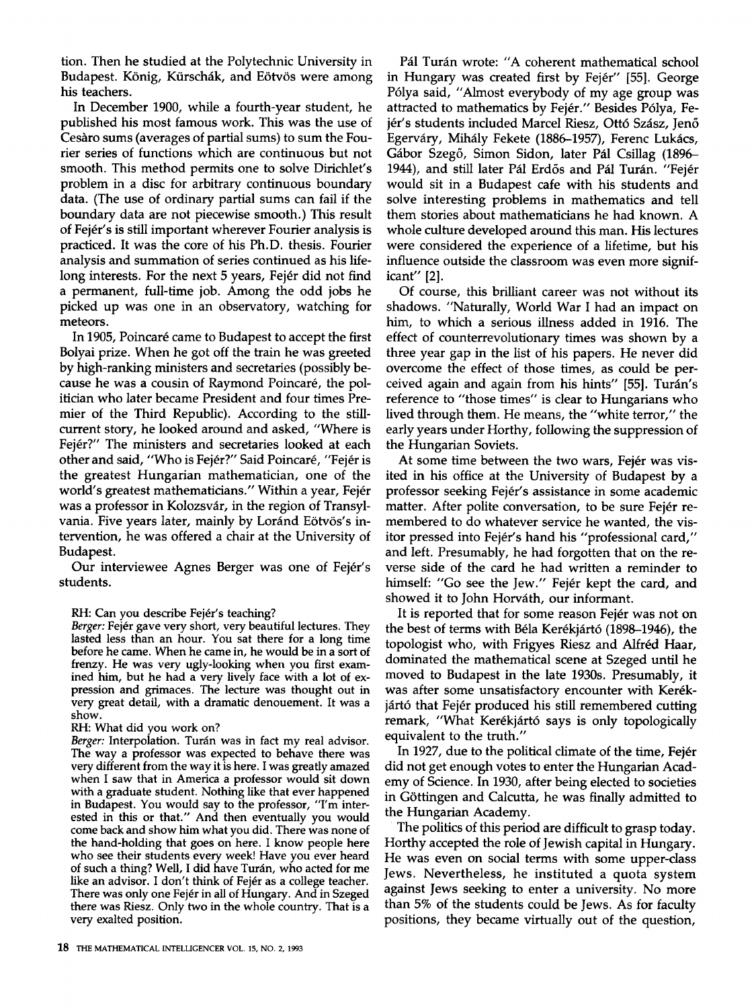tion. Then he studied at the Polytechnic University in Budapest. König, Kürschák, and Eötvös were among his teachers.

In December 1900, while a fourth-year student, he published his most famous work. This was the use of Cesaro sums (averages of partial sums) to sum the Fourier series of functions which are continuous but not smooth. This method permits one to solve Dirichlet's problem in a disc for arbitrary continuous boundary data. (The use of ordinary partial sums can fail if the boundary data are not piecewise smooth.) This result of Fej6r's is still important wherever Fourier analysis is practiced. It was the core of his Ph.D. thesis. Fourier analysis and summation of series continued as his lifelong interests. For the next 5 years, Fejér did not find a permanent, full-time job. Among the odd jobs he picked up was one in an observatory, watching for meteors.

In 1905, Poincaré came to Budapest to accept the first Bolyai prize. When he got off the train he was greeted by high-ranking ministers and secretaries (possibly because he was a cousin of Raymond Poincar6, the politician who later became President and four times Premier of the Third Republic). According to the stillcurrent story, he looked around and asked, "Where is Fejér?" The ministers and secretaries looked at each other and said, "Who is Fejér?" Said Poincaré, "Fejér is the greatest Hungarian mathematician, one of the world's greatest mathematicians." Within a year, Fejér was a professor in Kolozsvár, in the region of Transylvania. Five years later, mainly by Loránd Eötvös's intervention, he was offered a chair at the University of Budapest.

Our interviewee Agnes Berger was one of Fejér's students.

#### RH: Can you describe Fejér's teaching?

Berger: Fejér gave very short, very beautiful lectures. They lasted less than an hour. You sat there for a long time before he came. When he came in, he would be in a sort of frenzy. He was very ugly-looking when you first examined him, but he had a very lively face with a lot of expression and grimaces. The lecture was thought out in very great detail, with a dramatic denouement. It was a show.

#### RH: What did you work on?

*Berger: Interpolation. Turán was in fact my real advisor.* The way a professor was expected to behave there was very different from the way it is here. I was greatly amazed when I saw that in America a professor would sit down with a graduate student. Nothing like that ever happened in Budapest. You would say to the professor, "I'm interested in this or that." And then eventually you would come back and show him what you did. There was none of the hand-holding that goes on here. I know people here who see their students every week! Have you ever heard of such a thing? Well, I did have Turán, who acted for me like an advisor. I don't think of Fejér as a college teacher. There was only one Fej6r in all of Hungary. And in Szeged there was Riesz. Only two in the whole country. That is a very exalted position.

Pál Turán wrote: "A coherent mathematical school in Hungary was created first by Fejér" [55]. George P61ya said, "Almost everybody of my age group was attracted to mathematics by Fejér." Besides Pólya, Fejér's students included Marcel Riesz, Ottó Szász, Jenő Egerváry, Mihály Fekete (1886-1957), Ferenc Lukács, Gábor Szegő, Simon Sidon, later Pál Csillag (1896– 1944), and still later Pál Erdős and Pál Turán. "Fejér would sit in a Budapest cafe with his students and solve interesting problems in mathematics and tell them stories about mathematicians he had known. A whole culture developed around this man. His lectures were considered the experience of a lifetime, but his influence outside the classroom was even more significant" [2].

Of course, this brilliant career was not without its shadows. "Naturally, World War I had an impact on him, to which a serious illness added in 1916. The effect of counterrevolutionary times was shown by a three year gap in the list of his papers. He never did overcome the effect of those times, as could be perceived again and again from his hints" [55]. Turán's reference to "those times" is clear to Hungarians who lived through them. He means, the "white terror," the early years under Horthy, following the suppression of the Hungarian Soviets.

At some time between the two wars, Fejér was visited in his office at the University of Budapest by a professor seeking Fejér's assistance in some academic matter. After polite conversation, to be sure Fejér remembered to do whatever service he wanted, the visitor pressed into Fejér's hand his "professional card," and left. Presumably, he had forgotten that on the reverse side of the card he had written a reminder to himself: "Go see the Jew." Fejér kept the card, and showed it to John Horváth, our informant.

It is reported that for some reason Fejér was not on the best of terms with Béla Kerékjártó (1898-1946), the topologist who, with Frigyes Riesz and Alfréd Haar, dominated the mathematical scene at Szeged until he moved to Budapest in the late 1930s. Presumably, it was after some unsatisfactory encounter with Kerékjártó that Fejér produced his still remembered cutting remark, "What Kerékjártó says is only topologically equivalent to the truth."

In 1927, due to the political climate of the time, Fejér did not get enough votes to enter the Hungarian Academy of Science. In 1930, after being elected to societies in Göttingen and Calcutta, he was finally admitted to the Hungarian Academy.

The politics of this period are difficult to grasp today. Horthy accepted the role of Jewish capital in Hungary. He was even on social terms with some upper-class Jews. Nevertheless, he instituted a quota system against Jews seeking to enter a university. No more than 5% of the students could be Jews. As for faculty positions, they became virtually out of the question,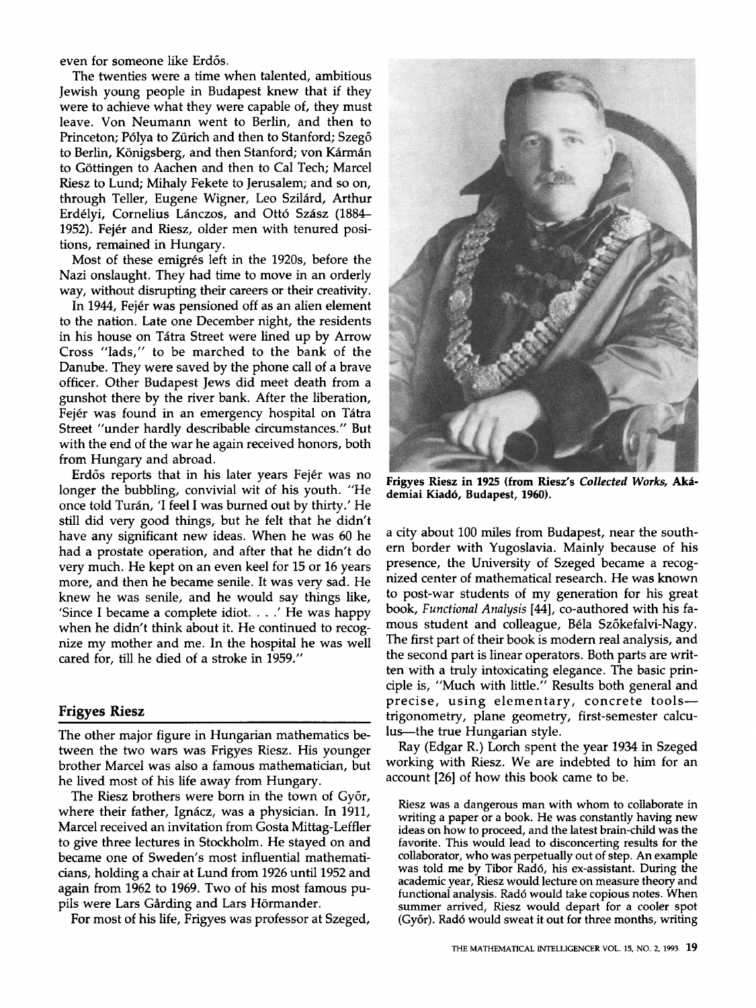even for someone like Erdős.

The twenties were a time when talented, ambitious Jewish young people in Budapest knew that if they were to achieve what they were capable of, they must leave. Von Neumann went to Berlin, and then to Princeton; Pólya to Zürich and then to Stanford; Szegő to Berlin, Königsberg, and then Stanford; von Kármán to Göttingen to Aachen and then to Cal Tech; Marcel Riesz to Lund; Mihaly Fekete to Jerusalem; and so on, through Teller, Eugene Wigner, Leo Szilárd, Arthur Erdélyi, Cornelius Lánczos, and Ottó Szász (1884-1952). Fejér and Riesz, older men with tenured positions, remained in Hungary.

Most of these emigrés left in the 1920s, before the Nazi onslaught. They had time to move in an orderly way, without disrupting their careers or their creativity.

In 1944, Fejér was pensioned off as an alien element to the nation. Late one December night, the residents in his house on Tátra Street were lined up by Arrow Cross "lads," to be marched to the bank of the Danube. They were saved by the phone call of a brave officer. Other Budapest Jews did meet death from a gunshot there by the river bank. After the liberation, Fejér was found in an emergency hospital on Tátra Street "under hardly describable circumstances." But with the end of the war he again received honors, both from Hungary and abroad.

Erdős reports that in his later years Fejér was no longer the bubbling, convivial wit of his youth. "He once told Turán, 'I feel I was burned out by thirty.' He still did very good things, but he felt that he didn't have any significant new ideas. When he was 60 he had a prostate operation, and after that he didn't do very much. He kept on an even keel for 15 or 16 years more, and then he became senile. It was very sad. He knew he was senile, and he would say things like, 'Since I became a complete idiot.  $\ldots$ .' He was happy when he didn't think about it. He continued to recognize my mother and me. In the hospital he was well cared for, till he died of a stroke in 1959."

#### **Frigyes Riesz**

The other major figure in Hungarian mathematics between the two wars was Frigyes Riesz. His younger brother Marcel was also a famous mathematician, but he lived most of his life away from Hungary.

The Riesz brothers were born in the town of Győr, where their father, Ignácz, was a physician. In 1911, Marcel received an invitation from Gosta Mittag-Leffier to give three lectures in Stockholm. He stayed on and became one of Sweden's most influential mathematicians, holding a chair at Lund from 1926 until 1952 and again from 1962 to 1969. Two of his most famous pupils were Lars Gårding and Lars Hörmander.

For most of his life, Frigyes was professor at Szeged,



Frigyes Riesz in 1925 (from Riesz's Collected Works, Aká**demiai Kiad6, Budapest, 1960).** 

a city about 100 miles from Budapest, near the southern border with Yugoslavia. Mainly because of his presence, the University of Szeged became a recognized center of mathematical research. He was known to post-war students of my generation for his great book, *Functional Analysis* [44], co-authored with his famous student and colleague, Béla Szőkefalvi-Nagy. The first part of their book is modern real analysis, and the second part is linear operators. Both parts are written with a truly intoxicating elegance. The basic principle is, "Much with little." Results both general and precise, using elementary, concrete tools-trigonometry, plane geometry, first-semester calculus--the true Hungarian style.

Ray (Edgar R.) Lorch spent the year 1934 in Szeged working with Riesz. We are indebted to him for an account [26] of how this book came to be.

Riesz was a dangerous man with whom to collaborate in writing a paper or a book. He was constantly having new ideas on how to proceed, and the latest brain-child was the favorite. This would lead to disconcerting results for the collaborator, who was perpetually out of step. An example was told me by Tibor Rad6, his ex-assistant. During the academic year, Riesz would lecture on measure theory and functional analysis. Rad6 would take copious notes. When summer arrived, Riesz would depart for a cooler spot (Gy6r). Rad6 would sweat it out for three months, writing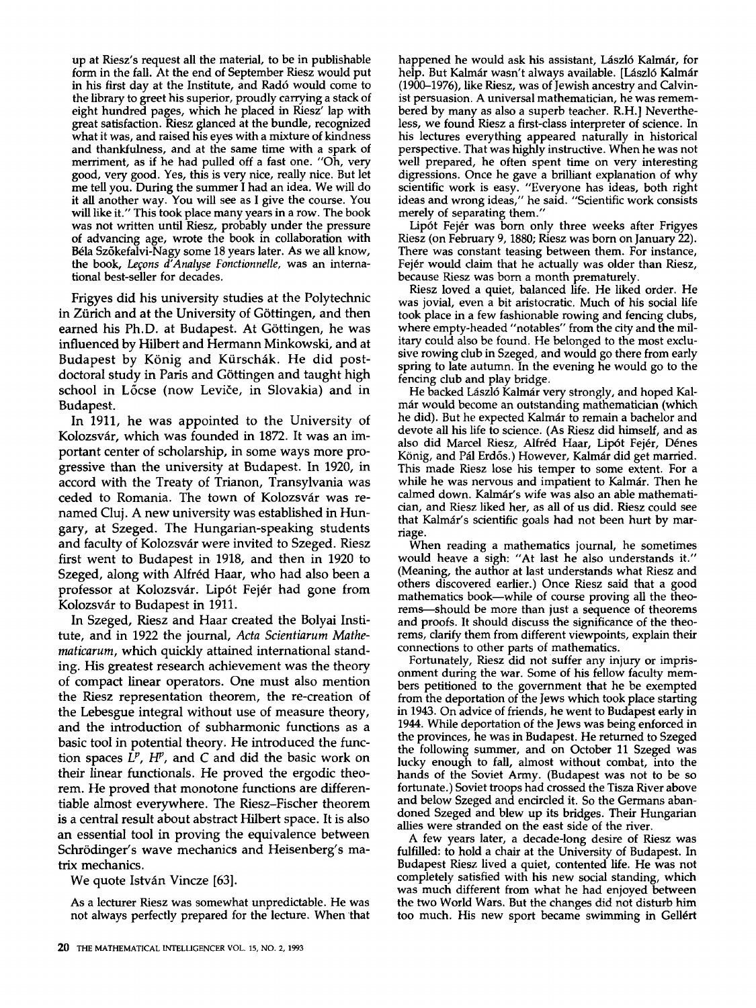up at Riesz's request all the material, to be in publishable form in the fall. At the end of September Riesz would put in his first day at the Institute, and Rad6 would come to the library to greet his superior, proudly carrying a stack of eight hundred pages, which he placed in Riesz' lap with great satisfaction. Riesz glanced at the bundle, recognized what it was, and raised his eyes with a mixture of kindness and thankfulness, and at the same time with a spark of merriment, as if he had pulled off a fast one. "Oh, very good, very good. Yes, this is very nice, really nice. But let me tell you. During the summer I had an idea. We will do it all another way. You will see as I give the course. You will like it." This took place many years in a row. The book was not written until Riesz, probably under the pressure of advancing age, wrote the book in collaboration with B61a Sz6kefalvi-Nagy some 18 years later. As we all know, the book, *Leçons d'Analyse Fonctionnelle*, was an international best-seller for decades.

Frigyes did his university studies at the Polytechnic in Zürich and at the University of Göttingen, and then earned his Ph.D. at Budapest. At Göttingen, he was influenced by Hilbert and Hermann Minkowski, and at Budapest by König and Kürschák. He did postdoctoral study in Paris and Göttingen and taught high school in Lõcse (now Leviče, in Slovakia) and in Budapest.

In 1911, he was appointed to the University of Kolozsvár, which was founded in 1872. It was an important center of scholarship, in some ways more progressive than the university at Budapest. In 1920, in accord with the Treaty of Trianon, Transylvania was ceded to Romania. The town of Kolozsvár was renamed Cluj. A new university was established in Hungary, at Szeged. The Hungarian-speaking students and faculty of Kolozsvár were invited to Szeged. Riesz first went to Budapest in 1918, and then in 1920 to Szeged, along with Alfréd Haar, who had also been a professor at Kolozsvár. Lipót Fejér had gone from Kolozsvár to Budapest in 1911.

In Szeged, Riesz and Haar created the Bolyai Institute, and in 1922 the journal, *Acta Scientiarum Mathematicarum,* which quickly attained international standing. His greatest research achievement was the theory of compact linear operators. One must also mention the Riesz representation theorem, the re-creation of the Lebesgue integral without use of measure theory, and the introduction of subharmonic functions as a basic tool in potential theory. He introduced the function spaces  $L^p$ ,  $H^p$ , and C and did the basic work on their linear functionals. He proved the ergodic theorem. He proved that monotone functions are differentiable almost everywhere. The Riesz-Fischer theorem is a central result about abstract Hilbert space. It is also an essential tool in proving the equivalence between Schrödinger's wave mechanics and Heisenberg's matrix mechanics.

We quote István Vincze [63].

As a lecturer Riesz was somewhat unpredictable. He was not always perfectly prepared for the lecture. When that happened he would ask his assistant, László Kalmár, for help. But Kalmár wasn't always available. [László Kalmár (1900-1976), like Riesz, was of Jewish ancestry and Calvinist persuasion. A universal mathematician, he was remembered by many as also a superb teacher. R.H.] Nevertheless, we found Riesz a first-class interpreter of science. In his lectures everything appeared naturally in historical perspective. That was highly instructive. When he was not well prepared, he often spent time on very interesting digressions. Once he gave a brilliant explanation of why scientific work is easy. "Everyone has ideas, both right ideas and wrong ideas," he said. "Scientific work consists merely of separating them."

Lipót Fejér was born only three weeks after Frigyes Riesz (on February 9, 1880; Riesz was born on January 22). There was constant teasing between them. For instance, Fejér would claim that he actually was older than Riesz, because Riesz was born a month prematurely.

Riesz loved a quiet, balanced life. He liked order. He was jovial, even a bit aristocratic. Much of his social life took place in a few fashionable rowing and fencing clubs, where empty-headed "notables" from the city and the military could also be found. He belonged to the most exclusive rowing club in Szeged, and would go there from early spring to late autumn. In the evening he would go to the fencing club and play bridge.

He backed László Kalmár very strongly, and hoped Kalmár would become an outstanding mathematician (which he did). But he expected Kalmár to remain a bachelor and devote all his life to science. (As Riesz did himself, and as also did Marcel Riesz, Alfréd Haar, Lipót Fejér, Dénes König, and Pál Erdős.) However, Kalmár did get married. This made Riesz lose his temper to some extent. For a while he was nervous and impatient to Kalmár. Then he calmed down. Kalmár's wife was also an able mathematician, and Riesz liked her, as all of us did. Riesz could see that Kalmár's scientific goals had not been hurt by marriage.

When reading a mathematics journal, he sometimes would heave a sigh: "At last he also understands **it."**  (Meaning, the author at last understands what Riesz and others discovered earlier.) Once Riesz said that a good mathematics book—while of course proving all the theorems--should be more than just a sequence of theorems and proofs. It should discuss the significance of the theorems, clarify them from different viewpoints, explain their connections to other parts of mathematics.

Fortunately, Riesz did not suffer any injury or imprisonment during the war. Some of his fellow faculty members petitioned to the government that he be exempted from the deportation of the Jews which took place starting in 1943. On advice of friends, he went to Budapest early in 1944. While deportation of the Jews was being enforced in the provinces, he was in Budapest. He returned to Szeged the following summer, and on October 11 Szeged was lucky enough to fall, almost without combat, into the hands of the Soviet Army. (Budapest was not to be so fortunate.) Soviet troops had crossed the Tisza River above and below Szeged and encircled it. So the Germans abandoned Szeged and blew up its bridges. Their Hungarian allies were stranded on the east side of the river.

**A** few years later, a decade-long desire of Riesz was fulfilled: to hold a chair at the University of Budapest. In Budapest Riesz lived a quiet, contented life. He was not completely satisfied with his new social standing, which was much different from what he had enjoyed between the two World Wars. But the changes did not disturb him too much. His new sport became swimming in Gellért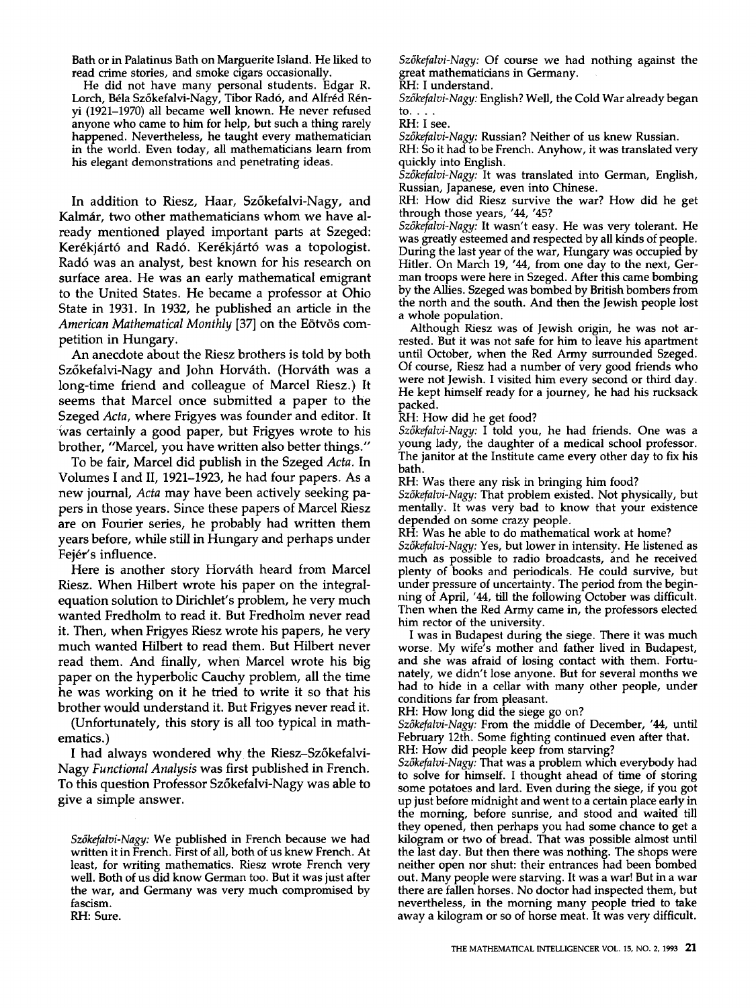Bath or in Palatinus Bath on Marguerite Island. He liked to read crime stories, and smoke cigars occasionally.

He did not have many personal students. Edgar R. Lorch, Béla Szőkefalvi-Nagy, Tibor Radó, and Alfréd Rényi (1921-1970) all became well known. He never refused anyone who came to him for help, but such a thing rarely happened. Nevertheless, he taught every mathematician in the world. Even today, all mathematicians learn from his elegant demonstrations and penetrating ideas.

In addition to Riesz, Haar, Sz6kefalvi-Nagy, and Kalmár, two other mathematicians whom we have already mentioned played important parts at Szeged: Kerékjártó and Radó. Kerékjártó was a topologist. Rad6 was an analyst, best known for his research on surface area. He was an early mathematical emigrant to the United States. He became a professor at Ohio State in 1931. In 1932, he published an article in the American Mathematical Monthly [37] on the Eötvös competition in Hungary.

An anecdote about the Riesz brothers is told by both Szőkefalvi-Nagy and John Horváth. (Horváth was a long-time friend and colleague of Marcel Riesz.) It seems that Marcel once submitted a paper to the Szeged *Acta,* where Frigyes was founder and editor. It Was certainly a good paper, but Frigyes wrote to his brother, "Marcel, you have written also better things."

To be fair, Marcel did publish in the Szeged *Acta.* In Volumes I and II, 1921-1923, he had four papers. As a new journal, *Acta* may have been actively seeking papers in those years. Since these papers of Marcel Riesz are on Fourier series, he probably had written them years before, while still in Hungary and perhaps under Fejér's influence.

Here is another story Horváth heard from Marcel Riesz. When Hilbert wrote his paper on the integralequation solution to Dirichlet's problem, he very much wanted Fredholm to read it. But Fredholm never read it. Then, when Frigyes Riesz wrote his papers, he very much wanted Hilbert to read them. But Hilbert never read them. And finally, when Marcel wrote his big paper on the hyperbolic Cauchy problem, all the time he was working on it he tried to write it so that his brother would understand it. But Frigyes never read it.

(Unfortunately, this story is all too typical in mathematics.)

I had always wondered why the Riesz-Sz6kefalvi-Nagy *Functional Analysis* was first published in French. To this question Professor Sz6kefalvi-Nagy was able to give a simple answer.

*Sz3kefalvi-Nagy:* We published in French because we had written it in French. First of all, both of us knew French. At least, for writing mathematics. Riesz wrote French very well. Both of us did know German too. But it was just after the war, and Germany was very much compromised by fascism. RH: Sure.

*Sz6kefalvi-Nagy:* Of course we had nothing against the great mathematicians in Germany.

RH: I understand.

*Sz6kefalvi-Nagy:* English? Well, the Cold War already began to.  $\mathbf{.}$ 

RH: I see.

*Sz6kefalvi-Nagy:* Russian? Neither of us knew Russian.

RH: So it had to be French. Anyhow, it was translated very quickly into English.

*Sz6kefalvi-Nagy:* It was translated into German, English, Russian, Japanese, even into Chinese.

RH: How did Riesz survive the war? How did he get through those years, '44, '45?

*Sz6kefalvi-Nagy:* It wasn't easy. He was very tolerant. He was greatly esteemed and respected by all kinds of people. During the last year of the war, Hungary was occupied by Hitler. On March 19, '44, from one day to the next, German troops were here in Szeged. After this came bombing by the Allies. Szeged was bombed by British bombers from the north and the south. And then the Jewish people lost a whole population.

Although Riesz was of Jewish origin, he was not arrested. But it was not safe for him to leave his apartment until October, when the Red Army surrounded Szeged. Of course, Riesz had a number of very good friends who were not Jewish. I visited him every second or third day. He kept himself ready for a journey, he had his rucksack packed.

RH: How did he get food?

*Sz6kefalvi-Nagy:* I told you, he had friends. One was a young lady, the daughter of a medical school professor. The janitor at the Institute came every other day to fix his bath.

RH: Was there any risk in bringing him food?

*Sz6kefalvi-Nagy:* That problem existed. Not physically, but mentally. It was very bad to know that your existence depended on some crazy people.

RH: Was he able to do mathematical work at home? *Sz6kefalvi-Nagy:* Yes, but lower in intensity. He listened as much as possible to radio broadcasts, and he received plenty of books and periodicals. He could survive, but under pressure of uncertainty. The period from the beginning of April, '44, till the following October was difficult. Then when the Red Army came in, the professors elected him rector of the university.

I was in Budapest during the siege. There it was much worse. My wife's mother and father lived in Budapest, and she was afraid of losing contact with them. Fortunately, we didn't lose anyone. But for several months we had to hide in a cellar with many other people, under conditions far from pleasant.

RH: How long did the siege go on?

Szőkefalvi-Nagy: From the middle of December, '44, until February 12th. Some fighting continued even after that.

RH: How did people keep from starving?

*Sz6kefalvi-Nagy:* That was a problem which everybody had to solve for himself. I thought ahead of time of storing some potatoes and lard. Even during the siege, if you got up just before midnight and went to a certain place early in the morning, before sunrise, and stood and waited till they opened, then perhaps you had some chance to get a kilogram or two of bread. That was possible almost until the last day. But then there was nothing. The shops were neither open nor shut: their entrances had been bombed out. Many people were starving. It was a war! But in a war there are fallen horses. No doctor had inspected them, but nevertheless, in the morning many people tried to take away a kilogram or so of horse meat. It was very difficult.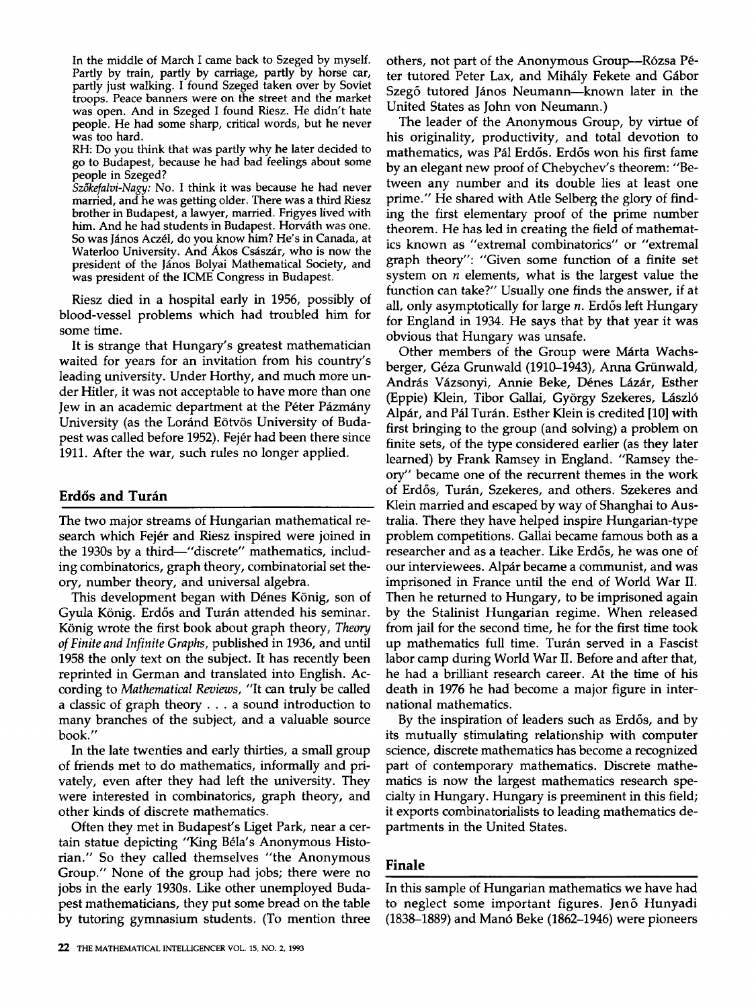In the middle of March I came back to Szeged by myself. Partly by train, partly by carriage, partly by horse car, partly just walking. I found Szeged taken over by Soviet troops. Peace banners were on the street and the market was open. And in Szeged I found Riesz. He didn't hate people. He had some sharp, critical words, but he never was too hard.

RH: Do you think that was partly why he later decided to go to Budapest, because he had bad feelings about some people in Szeged?

*Sz6kefalvi-Nagy:* No. I think it was because he had never married, and he was getting older. There was a third Riesz brother in Budapest, a lawyer, married. Frigyes lived with him. And he had students in Budapest. Horváth was one. So was János Aczél, do you know him? He's in Canada, at Waterloo University. And Ákos Császár, who is now the president of the János Bolyai Mathematical Society, and was president of the ICME Congress in Budapest.

Riesz died in a hospital early in 1956, possibly of blood-vessel problems which had troubled him for some time.

It is strange that Hungary's greatest mathematician waited for years for an invitation from his country's leading university. Under Horthy, and much more under Hitler, it was not acceptable to have more than one Jew in an academic department at the Péter Pázmány University (as the Loránd Eötvös University of Budapest was called before 1952). Fejér had been there since 1911. After the war, such rules no longer applied.

# **Erdős and Turán**

The two major streams of Hungarian mathematical research which Fejér and Riesz inspired were joined in the 1930s by a third—"discrete" mathematics, including combinatorics, graph theory, combinatorial set theory, number theory, and universal algebra.

This development began with Dénes König, son of Gyula König. Erdős and Turán attended his seminar. K6nig wrote the first book about graph theory, *Theory of Finite and Infinite Graphs,* published in 1936, and until 1958 the only text on the subject. It has recently been reprinted in German and translated into English. According to *Mathematical Reviews,* "It can truly be called a classic of graph theory.., a sound introduction to many branches of the subject, and a valuable source book."

In the late twenties and early thirties, a small group of friends met to do mathematics, informally and privately, even after they had left the university. They were interested in combinatorics, graph theory, and other kinds of discrete mathematics.

Often they met in Budapest's Liget Park, near a certain statue depicting "King Béla's Anonymous Historian." So they called themselves "the Anonymous Group." None of the group had jobs; there were no jobs in the early 1930s. Like other unemployed Budapest mathematicians, they put some bread on the table by tutoring gymnasium students. (To mention three others, not part of the Anonymous Group----Rózsa Péter tutored Peter Lax, and Mihály Fekete and Gábor Szegő tutored János Neumann--known later in the United States as John yon Neumann.)

The leader of the Anonymous Group, by virtue of his originality, productivity, and total devotion to mathematics, was Pál Erdős. Erdős won his first fame by an elegant new proof of Chebychev's theorem: "Between any number and its double lies at least one prime." He shared with Atle Selberg the glory of finding the first elementary proof of the prime number theorem. He has led in creating the field of mathematics known as "extremal combinatorics" or "extremal graph theory": "Given some function of a finite set system on  $n$  elements, what is the largest value the function can take?" Usually one finds the answer, if at all, only asymptotically for large  $n$ . Erdős left Hungary for England in 1934. He says that by that year it was obvious that Hungary was unsafe.

Other members of the Group were Márta Wachsberger, Géza Grunwald (1910–1943), Anna Grünwald, András Vázsonyi, Annie Beke, Dénes Lázár, Esther (Eppie) Klein, Tibor Gallai, György Szekeres, László Alpár, and Pál Turán. Esther Klein is credited [10] with first bringing to the group (and solving) a problem on finite sets, of the type considered earlier (as they later learned) by Frank Ramsey in England. "Ramsey theory" became one of the recurrent themes in the work of Erdős, Turán, Szekeres, and others. Szekeres and Klein married and escaped by way of Shanghai to Australia. There they have helped inspire Hungarian-type problem competitions. Gallai became famous both as a researcher and as a teacher. Like Erdős, he was one of our interviewees. Alpár became a communist, and was imprisoned in France until the end of World War II. Then he returned to Hungary, to be imprisoned again by the Stalinist Hungarian regime. When released from jail for the second time, he for the first time took up mathematics full time. Turán served in a Fascist labor camp during World War II. Before and after that, he had a brilliant research career. At the time of his death in 1976 he had become a major figure in international mathematics.

By the inspiration of leaders such as Erdős, and by its mutually stimulating relationship with computer science, discrete mathematics has become a recognized part of contemporary mathematics. Discrete mathematics is now the largest mathematics research specialty in Hungary. Hungary is preeminent in this field; it exports combinatorialists to leading mathematics departments in the United States.

# **Finale**

In this sample of Hungarian mathematics we have had to neglect some important figures. Jen6 Hunyadi (1838-1889) and Man6 Beke (1862-1946) were pioneers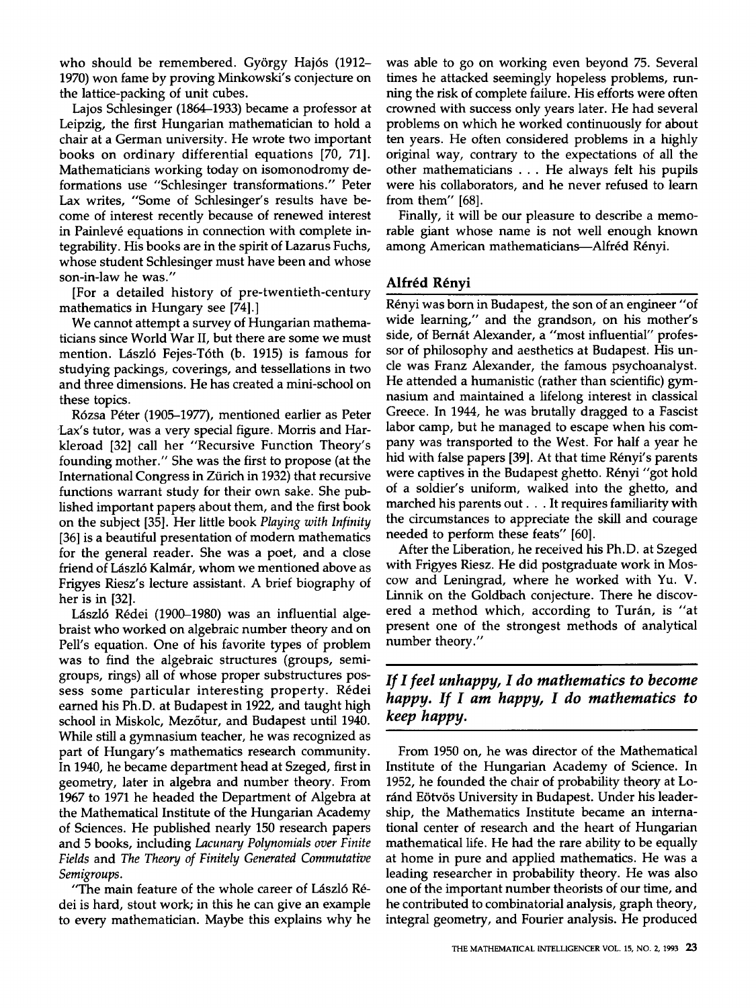who should be remembered. György Hajós (1912-1970) won fame by proving Minkowski's conjecture on the lattice-packing of unit cubes.

Lajos Schlesinger (1864-1933) became a professor at Leipzig, the first Hungarian mathematician to hold a chair at a German university. He wrote two important books on ordinary differential equations [70, 71]. Mathematicians working today on isomonodromy deformations use "Schlesinger transformations." Peter Lax writes, "Some of Schlesinger's results have become of interest recently because of renewed interest in Painlevé equations in connection with complete integrabillty. His books are in the spirit of Lazarus Fuchs, whose student Schlesinger must have been and whose son-in-law he was."

[For a detailed history of pre-twentieth-century mathematics in Hungary see [74].]

We cannot attempt a survey of Hungarian mathematicians since World War II, but there are some we must mention. László Fejes-Tóth (b. 1915) is famous for studying packings, coverings, and tessellations in two and three dimensions. He has created a mini-school on these topics.

Rózsa Péter (1905-1977), mentioned earlier as Peter Lax's tutor, was a very special figure. Morris and Harkleroad [32] call her "Recursive Function Theory's founding mother." She was the first to propose (at the International Congress in Ziirich in 1932) that recursive functions warrant study for their own sake. She published important papers about them, and the first book on the subject [35]. Her little book *Playing with Infinity*  [36] is a beautiful presentation of modern mathematics for the general reader. She was a poet, and a close friend of László Kalmár, whom we mentioned above as Frigyes Riesz's lecture assistant. A brief biography of her is in [32].

László Rédei (1900–1980) was an influential algebraist who worked on algebraic number theory and on Pell's equation. One of his favorite types of problem was to find the algebraic structures (groups, semigroups, rings) all of whose proper substructures possess some particular interesting property. Rédei earned his Ph.D. at Budapest in 1922, and taught high school in Miskolc, Mez6tur, and Budapest until 1940. While still a gymnasium teacher, he was recognized as part of Hungary's mathematics research community. In 1940, he became department head at Szeged, first in geometry, later in algebra and number theory. From 1967 to 1971 he headed the Department of Algebra at the Mathematical Institute of the Hungarian Academy of Sciences. He published nearly 150 research papers and 5 books, including *Lacunary Polynomials over Finite Fields* and *The Theory of Finitely Generated Commutative Semigroups.* 

"The main feature of the whole career of László Rédei is hard, stout work; in this he can give an example to every mathematician. Maybe this explains why he was able to go on working even beyond 75. Several times he attacked seemingly hopeless problems, running the risk of complete failure. His efforts were often crowned with success only years later. He had several problems on which he worked continuously for about ten years. He often considered problems in a highly original way, contrary to the expectations of all the other mathematicians ... He always felt his pupils were his collaborators, and he never refused to learn from them" [68].

Finally, it will be our pleasure to describe a memorable giant whose name is not well enough known among American mathematicians---Alfréd Rényi.

# **Alfr4d R4nyi**

Rényi was born in Budapest, the son of an engineer "of wide learning," and the grandson, on his mother's side, of Bernát Alexander, a "most influential" professor of philosophy and aesthetics at Budapest. His uncle was Franz Alexander, the famous psychoanalyst. He attended a humanistic (rather than scientific) gymnasium and maintained a lifelong interest in classical Greece. In 1944, he was brutally dragged to a Fascist labor camp, but he managed to escape when his company was transported to the West. For half a year he hid with false papers [39]. At that time Rényi's parents were captives in the Budapest ghetto. Rényi "got hold of a soldier's uniform, walked into the ghetto, and marched his parents out... It requires familiarity with the circumstances to appreciate the skill and courage needed to perform these feats" [60].

After the Liberation, he received his Ph.D. at Szeged with Frigyes Riesz. He did postgraduate work in Moscow and Leningrad, where he worked with Yu. V. Linnik on the Goldbach conjecture. There he discovered a method which, according to Turán, is "at present one of the strongest methods of analytical number theory."

# *If I feel unhappy, I do mathematics to become happy. If I am happy, I do mathematics to keep happy.*

From 1950 on, he was director of the Mathematical Institute of the Hungarian Academy of Science. In 1952, he founded the chair of probability theory at Loránd Eötvös University in Budapest. Under his leadership, the Mathematics Institute became an international center of research and the heart of Hungarian mathematical life. He had the rare ability to be equally at home in pure and applied mathematics. He was a leading researcher in probability theory. He was also one of the important number theorists of our time, and he contributed to combinatorial analysis, graph theory, integral geometry, and Fourier analysis. He produced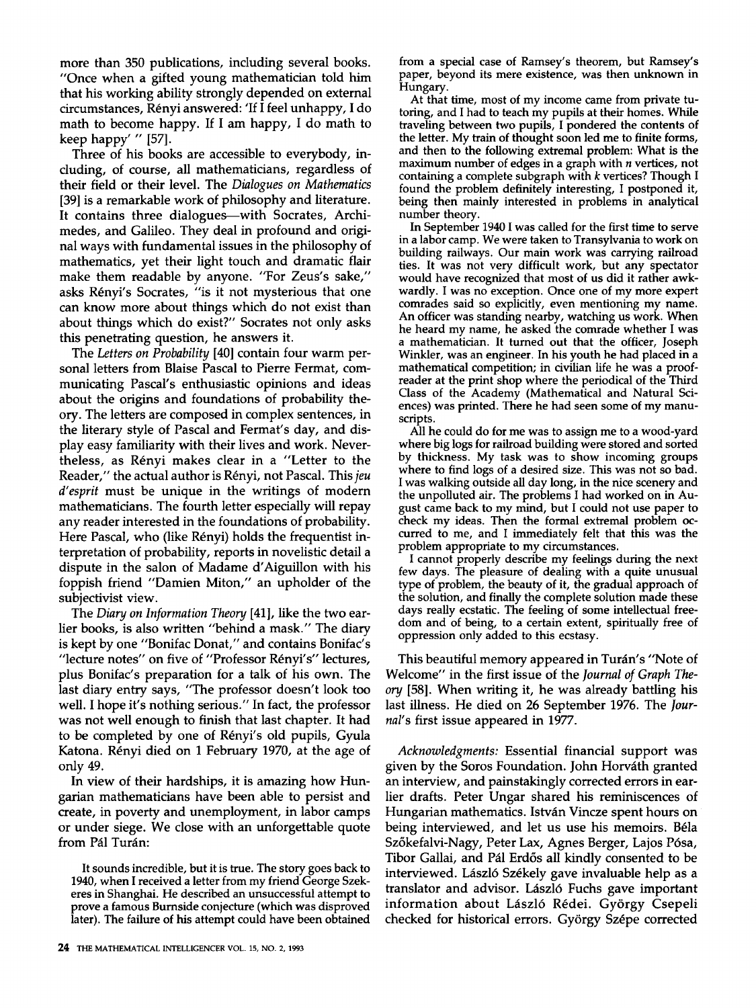more than 350 publications, including several books. "Once when a gifted young mathematician told him that his working ability strongly depended on external circumstances, R6nyi answered: 'If I feel unhappy, I do math to become happy. If I am happy, I do math to keep happy' " [57].

Three of his books are accessible to everybody, including, of course, all mathematicians, regardless of their field or their level. The *Dialogues on Mathematics*  [39] is a remarkable work of philosophy and literature. It contains three dialogues--with Socrates, Archimedes, and Galileo. They deal in profound and original ways with fundamental issues in the philosophy of mathematics, yet their light touch and dramatic flair make them readable by anyone. "For Zeus's sake," asks Rényi's Socrates, "is it not mysterious that one can know more about things which do not exist than about things which do exist?" Socrates not only asks this penetrating question, he answers it.

The *Letters on Probability* [40] contain four warm personal letters from Blaise Pascal to Pierre Fermat, communicating Pascal's enthusiastic opinions and ideas about the origins and foundations of probability theory. The letters are composed in complex sentences, in the literary style of Pascal and Fermat's day, and display easy familiarity with their lives and work. Nevertheless, as Rényi makes clear in a "Letter to the Reader," the actual author is R6nyi, not Pascal. This *jeu d'esprit* must be unique in the writings of modern mathematicians. The fourth letter especially will repay any reader interested in the foundations of probability. Here Pascal, who (like Rényi) holds the frequentist interpretation of probability, reports in novelistic detail a dispute in the salon of Madame d'Aiguillon with his foppish friend "Damien Miton," an upholder of the subjectivist view.

The *Diary on Information Theory* [41], like the two earlier books, is also written "behind a mask." The diary is kept by one "Bonifac Donat," and contains Bonifac's "lecture notes" on five of "Professor Rényi's" lectures, plus Bonifac's preparation for a talk of his own. The last diary entry says, "The professor doesn't look too well. I hope it's nothing serious." In fact, the professor was not well enough to finish that last chapter. It had to be completed by one of Rényi's old pupils, Gyula Katona. Rényi died on 1 February 1970, at the age of only 49.

In view of their hardships, it is amazing how Hungarian mathematicians have been able to persist and create, in poverty and unemployment, in labor camps or under siege. We close with an unforgettable quote from Pál Turán:

It sounds incredible, but it is true. The story goes back to 1940, when I received a letter from my friend George Szekeres in Shanghai. He described an unsuccessful attempt to prove a famous Burnside conjecture (which was disproved later). The failure of his attempt could have been obtained from a special case of Ramsey's theorem, but Ramsey's paper, beyond its mere existence, was then unknown in Hungary.

At that time, most of my income came from private tutoring, and I had to teach my pupils at their homes. While traveling between two pupils, I pondered the contents of the letter. My train of thought soon led me to finite forms, and then to the following extremal problem: What is the maximum number of edges in a graph with  $n$  vertices, not containing a complete subgraph with k vertices? Though I found the problem definitely interesting, I postponed it, being then mainly interested in problems in analytical number theory.

In September 1940 I was called for the first time to serve in a labor camp. We were taken to Transylvania to work on building railways. Our main work was carrying railroad ties. It was not very difficult work, but any spectator would have recognized that most of us did it rather awkwardly. I was no exception. Once one of my more expert comrades said so explicitly, even mentioning my name. An officer was standing nearby, watching us work. When he heard my name, he asked the comrade whether I was a mathematician. It turned out that the officer, Joseph Winkler, was an engineer. In his youth he had placed in a mathematical competition; in civilian life he was a proofreader at the print shop where the periodical of the Third Class of the Academy (Mathematical and Natural Sciences) was printed. There he had seen some of my manuscripts.

All he could do for me was to assign me to a wood-yard where big logs for railroad building were stored and sorted by thickness. My task was to show incoming groups where to find logs of a desired size. This was not so bad. I was walking outside all day long, in the nice scenery and the unpolluted air. The problems I had worked on in August came back to my mind, but I could not use paper to check my ideas. Then the formal extremal problem occurred to me, and I immediately felt that this was the problem appropriate to my circumstances.

I cannot properly describe my feelings during the next few days. The pleasure of dealing with a quite unusual type of problem, the beauty of it, the gradual approach of the solution, and finally the complete solution made these days really ecstatic. The feeling of some intellectual freedom and of being, to a certain extent, spiritually free of oppression only added to this ecstasy.

This beautiful memory appeared in Turán's "Note of Welcome" in the first issue of the *Journal of Graph The*ory [58]. When writing it, he was already battling his last illness. He died on 26 September 1976. The *Journal's* first issue appeared in 1977.

*Acknowledgments:* Essential financial support was given by the Soros Foundation. John Horváth granted an interview, and painstakingly corrected errors in earlier drafts. Peter Ungar shared his reminiscences of Hungarian mathematics. István Vincze spent hours on being interviewed, and let us use his memoirs. Béla Sz6kefalvi-Nagy, Peter Lax, Agnes Berger, Lajos P6sa, Tibor Gallai, and Pál Erdős all kindly consented to be interviewed. László Székely gave invaluable help as a translator and advisor. László Fuchs gave important information about László Rédei. György Csepeli checked for historical errors. György Szépe corrected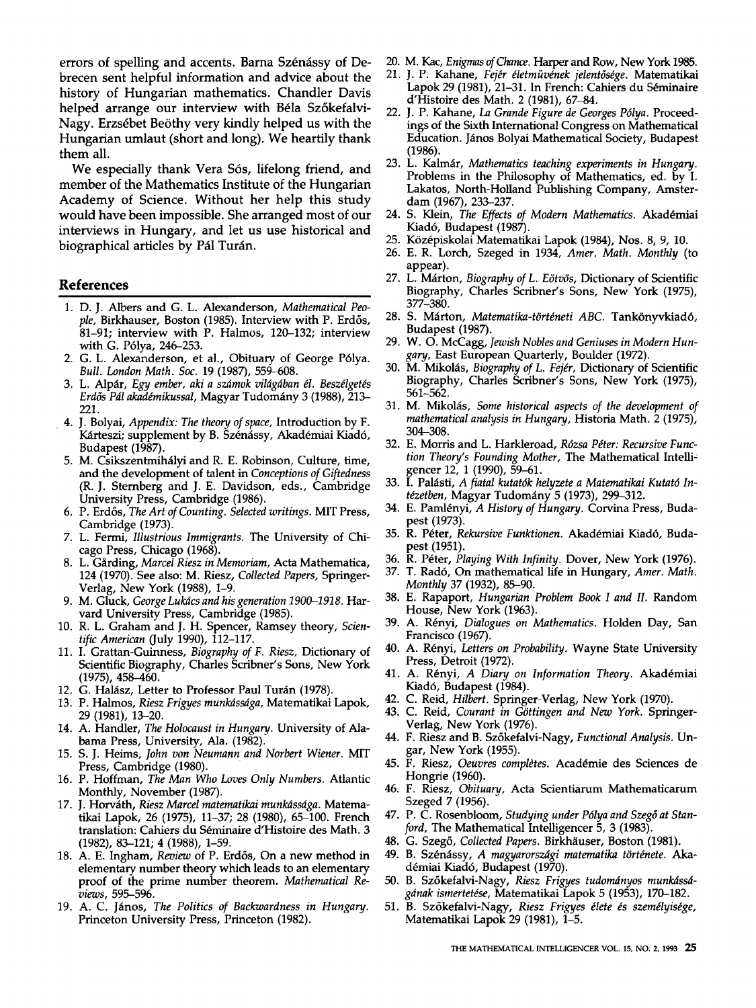errors of spelling and accents. Barna Szénássy of Debrecen sent helpful information and advice about the history of Hungarian mathematics. Chandler Davis helped arrange our interview with Béla Szőkefalvi-Nagy. Erzsébet Beöthy very kindly helped us with the Hungarian umlaut (short and long). We heartily thank them all.

We especially thank Vera Sós, lifelong friend, and member of the Mathematics Institute of the Hungarian Academy of Science. Without her help this study would have been impossible. She arranged most of our interviews in Hungary, and let us use historical and biographical articles by Pál Turán.

#### **References**

- 1. D. J. Albers and G. L. Alexanderson, *Mathematical Peo*ple, Birkhauser, Boston (1985). Interview with P. Erdős, 81-91; interview with P. Halmos, 120-132; interview with G. P61ya, 246-253.
- 2. G. L. Alexanderson, et al., Obituary of George P61ya. *Bull. London Math, Soc.* 19 (1987), 559-608.
- 3. L. Alpár, *Egy ember, aki a számok világában él. Beszélgetés* Erdős Pál akadémikussal, Magyar Tudomány 3 (1988), 213-221.
- 4. J. Bolyai, *Appendix: The theory of space,* Introduction by F. Kárteszi; supplement by B. Szénássy, Akadémiai Kiadó, Budapest (1987).
- 5. M. Csikszentmihályi and R. E. Robinson, Culture, time, and the development of talent in *Conceptions of Giftedness*  (R. J. Sternberg and J. E. Davidson, eds., Cambridge University Press, Cambridge (1986).
- 6. P. Erd6s, *The Art of Counting. Selected writings.* MIT Press, Cambridge (1973).
- 7. L. Fermi, *Illustrious Immigrants.* The University of Chicago Press, Chicago (1968).
- 8. L. Gårding, Marcel Riesz in Memoriam, Acta Mathematica, 124 (1970). See also: M. Riesz, *Collected Papers,* Springer-Verlag, New York (1988), 1-9.
- 9. M. Gluck, *George Lukdcs and his generation 1900-1918.* Harvard University Press, Cambridge (1985).
- 10. R. L. Graham and J. H. Spencer, Ramsey theory, *Scientific American* (July 1990), 112-117.
- 11. I. Grattan-Guinness, *Biography of F. Riesz,* Dictionary of Scientific Biography, Charles Scribner's Sons, New York (1975), 458-460.
- 12. G. Halász, Letter to Professor Paul Turán (1978).
- 13. P. Halmos, *Riesz Frigyes munkdssdga,* Matematikai Lapok, 29 (1981), 13-20.
- 14. A. Handler, *The Holocaust in Hungary.* University of Alabama Press, University, Ala. (1982).
- 15. S. J. Heims, *John von Neumann and Norbert Wiener.* MIT Press, Cambridge (1980).
- 16. P. Hoffman, *The Man Who Loves Only Numbers.* Atlantic Monthly, November (1987).
- 17. J. Horv~th, *Riesz Marcel matematikai munkdssdga.* Matematikai Lapok, 26 (1975), 11-37; 28 (1980), 65-100. French translation: Cahiers du Séminaire d'Histoire des Math. 3 (1982), 83-121; 4 (1988), 1-59.
- 18. A. E. Ingham, *Review* of P. Erdős, On a new method in elementary number theory which leads to an elementary proof of the prime number theorem. *Mathematical Reviews,* 595-596.
- 19. A. C. János, *The Politics of Backwardness in Hungary*. Princeton University Press, Princeton (1982).
- 20. M. Kac, *Enigmas* of Chance. Harper and Row, New York 1985.
- 21. J. P. Kahane, Fejér életművének jelentősége. Matematikai Lapok 29 (1981), 21–31. In French: Cahiers du Séminaire d'Histoire des Math. 2 (1981), 67-84.
- 22. J. P. Kahane, La *Grande Figure de Georges Pdlya.* Proceedings of the Sixth International Congress on Mathematical Education. János Bolyai Mathematical Society, Budapest (1986).
- 23. L. Kalmár, *Mathematics teaching experiments in Hungary*. Problems in the Philosophy of Mathematics, ed. by I. Lakatos, North-Holland Publishing Company, Amsterdam (1967), 233-237.
- 24. S. Klein, *The Effects of Modern Mathematics*. Akadémiai Kiad6, Budapest (1987).
- 25. Középiskolai Matematikai Lapok (1984), Nos. 8, 9, 10.
- 26. E. R. Lorch, Szeged in 1934, *Amer. Math. Monthly* (to appear).
- 27. L. Márton, *Biography of L. Eötvös*, Dictionary of Scientific Biography, Charles Scribner's Sons, New York (1975), 377-380.
- 28. S. Márton, *Matematika-történeti ABC*. Tankönyvkiadó, Budapest (1987).
- 29. W. O. McCagg, *Jewish Nobles and Geniuses in Modern Hungary,* East European Quarterly, Boulder (1972).
- 30. M. Mikolás, *Biography of L. Fejér*, Dictionary of Scientific Biography, Charles Scribner's Sons, New York (1975), 561-562.
- 31. M. Mikolás, *Some historical aspects of the development of mathematical analysis in Hungary,* Historia Math. 2 (1975), 304-308.
- 32. E. Morris and L. Harkleroad, *Rózsa Péter: Recursive Function Theory's Founding Mother,* The Mathematical Intelligencer 12, 1 (1990), 59-61.
- 33. I. Palásti, *A fiatal kutatók helyzete a Matematikai Kutató Intézetben, Magyar Tudomány 5 (1973), 299-312.*
- 34. E. Pamlényi, *A History of Hungary.* Corvina Press, Budapest (1973).
- 35. R. Péter, *Rekursive Funktionen.* Akadémiai Kiadó, Budapest (1951).
- 36. R. Péter, *Playing With Infinity*. Dover, New York (1976).
- 37. T. Rad6, On mathematical life in Hungary, *Amer. Math. Monthly* 37 (1932), 85-90.
- 38. E. Rapaport, *Hungarian Problem Book I and II.* Random House, New York (1963).
- 39. A. Rényi, *Dialogues on Mathematics*. Holden Day, San Francisco (1967).
- 40. A. Rényi, *Letters on Probability*. Wayne State University Press, Detroit (1972).
- 41. A. Rényi, *A Diary on Information Theory*. Akadémiai Kiad6, Budapest (1984).
- 42. C. Reid, *Hilbert.* Springer-Verlag, New York (1970).
- 43. C. Reid, *Courant in G6ttingen and New York.* Springer-Verlag, New York (1976).
- 44. F. Riesz and B. Sz6kefalvi-Nagy, *Functional Analysis.* Ungar, New York (1955).
- 45. F. Riesz, *Oeuvres complètes*. Académie des Sciences de Hongrie (1960).
- 46. F. Riesz, *Obituary,* Acta Scientiarum Mathematicarum Szeged 7 (1956).
- 47. P. C. Rosenbloom, *Studying under P61ya and Szeg6 at Stanford*, The Mathematical Intelligencer 5, 3 (1983).
- 48. G. Szegő, Collected Papers. Birkhäuser, Boston (1981).
- 49. B. Szénássy, A magyarországi matematika története. Akadémiai Kiadó, Budapest (1970).
- 50. B. Szőkefalvi-Nagy, Riesz Frigyes tudományos munkássá*gdnak ismertet~se,* Matematikai Lapok 5 (1953), 170-182.
- 51. B. Szőkefalvi-Nagy, *Riesz Frigyes élete és személyisége*, Matematikai Lapok 29 (1981), 1-5.